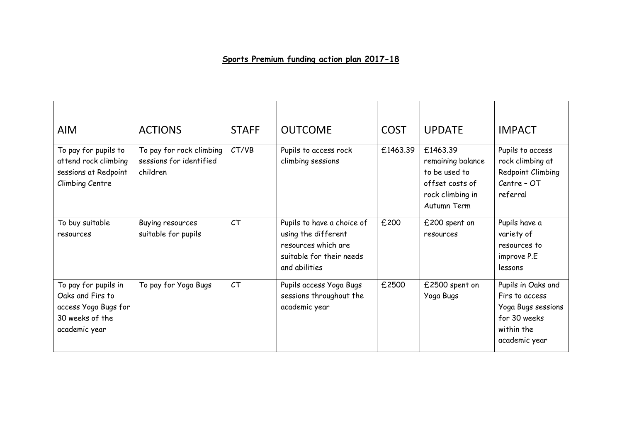## **Sports Premium funding action plan 2017-18**

| <b>AIM</b>                                                                                           | <b>ACTIONS</b>                                                  | <b>STAFF</b> | <b>OUTCOME</b>                                                                                                        | <b>COST</b> | <b>UPDATE</b>                                                                                        | <b>IMPACT</b>                                                                                             |
|------------------------------------------------------------------------------------------------------|-----------------------------------------------------------------|--------------|-----------------------------------------------------------------------------------------------------------------------|-------------|------------------------------------------------------------------------------------------------------|-----------------------------------------------------------------------------------------------------------|
| To pay for pupils to<br>attend rock climbing<br>sessions at Redpoint<br>Climbing Centre              | To pay for rock climbing<br>sessions for identified<br>children | CT/VB        | Pupils to access rock<br>climbing sessions                                                                            | £1463.39    | £1463.39<br>remaining balance<br>to be used to<br>offset costs of<br>rock climbing in<br>Autumn Term | Pupils to access<br>rock climbing at<br>Redpoint Climbing<br>Centre - OT<br>referral                      |
| To buy suitable<br>resources                                                                         | Buying resources<br>suitable for pupils                         | CT           | Pupils to have a choice of<br>using the different<br>resources which are<br>suitable for their needs<br>and abilities | £200        | £200 spent on<br>resources                                                                           | Pupils have a<br>variety of<br>resources to<br>improve P.E<br>lessons                                     |
| To pay for pupils in<br>Oaks and Firs to<br>access Yoga Bugs for<br>30 weeks of the<br>academic year | To pay for Yoga Bugs                                            | CT           | Pupils access Yoga Bugs<br>sessions throughout the<br>academic year                                                   | £2500       | £2500 spent on<br>Yoga Bugs                                                                          | Pupils in Oaks and<br>Firs to access<br>Yoga Bugs sessions<br>for 30 weeks<br>within the<br>academic year |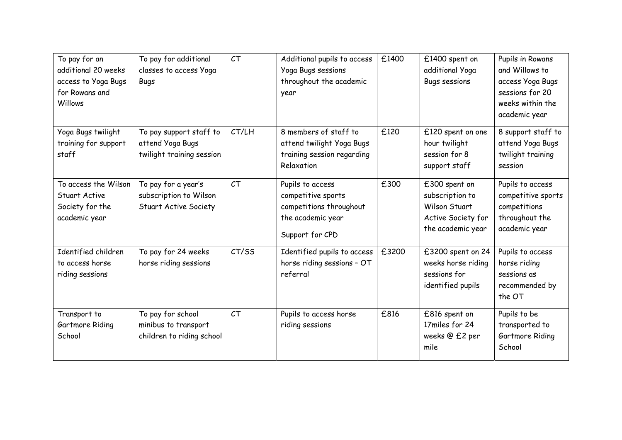| To pay for an<br>additional 20 weeks<br>access to Yoga Bugs<br>for Rowans and<br>Willows | To pay for additional<br>classes to access Yoga<br><b>Bugs</b>                | CT    | Additional pupils to access<br>Yoga Bugs sessions<br>throughout the academic<br>year                      | £1400 | £1400 spent on<br>additional Yoga<br><b>Bugs sessions</b>                                    | Pupils in Rowans<br>and Willows to<br>access Yoga Bugs<br>sessions for 20<br>weeks within the<br>academic year |
|------------------------------------------------------------------------------------------|-------------------------------------------------------------------------------|-------|-----------------------------------------------------------------------------------------------------------|-------|----------------------------------------------------------------------------------------------|----------------------------------------------------------------------------------------------------------------|
| Yoga Bugs twilight<br>training for support<br>staff                                      | To pay support staff to<br>attend Yoga Bugs<br>twilight training session      | CT/LH | 8 members of staff to<br>attend twilight Yoga Bugs<br>training session regarding<br>Relaxation            | £120  | £120 spent on one<br>hour twilight<br>session for 8<br>support staff                         | 8 support staff to<br>attend Yoga Bugs<br>twilight training<br>session                                         |
| To access the Wilson<br>Stuart Active<br>Society for the<br>academic year                | To pay for a year's<br>subscription to Wilson<br><b>Stuart Active Society</b> | CT    | Pupils to access<br>competitive sports<br>competitions throughout<br>the academic year<br>Support for CPD | £300  | £300 spent on<br>subscription to<br>Wilson Stuart<br>Active Society for<br>the academic year | Pupils to access<br>competitive sports<br>competitions<br>throughout the<br>academic year                      |
| Identified children<br>to access horse<br>riding sessions                                | To pay for 24 weeks<br>horse riding sessions                                  | CT/SS | Identified pupils to access<br>horse riding sessions - OT<br>referral                                     | £3200 | £3200 spent on 24<br>weeks horse riding<br>sessions for<br>identified pupils                 | Pupils to access<br>horse riding<br>sessions as<br>recommended by<br>the OT                                    |
| Transport to<br>Gartmore Riding<br>School                                                | To pay for school<br>minibus to transport<br>children to riding school        | CT    | Pupils to access horse<br>riding sessions                                                                 | £816  | £816 spent on<br>17miles for 24<br>weeks @ £2 per<br>mile                                    | Pupils to be<br>transported to<br>Gartmore Riding<br>School                                                    |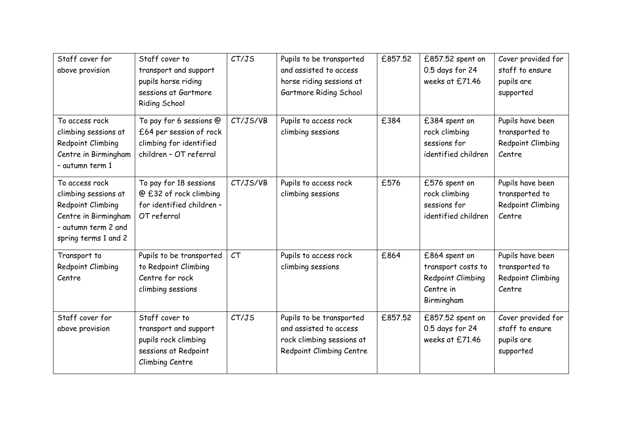| Staff cover for<br>above provision                                                                                                 | Staff cover to<br>transport and support<br>pupils horse riding<br>sessions at Gartmore<br>Riding School    | CT/JS    | Pupils to be transported<br>and assisted to access<br>horse riding sessions at<br>Gartmore Riding School    | £857.52 | £857.52 spent on<br>0.5 days for 24<br>weeks at £71.46                              | Cover provided for<br>staff to ensure<br>pupils are<br>supported  |
|------------------------------------------------------------------------------------------------------------------------------------|------------------------------------------------------------------------------------------------------------|----------|-------------------------------------------------------------------------------------------------------------|---------|-------------------------------------------------------------------------------------|-------------------------------------------------------------------|
| To access rock<br>climbing sessions at<br>Redpoint Climbing<br>Centre in Birmingham<br>- autumn term 1                             | To pay for 6 sessions @<br>£64 per session of rock<br>climbing for identified<br>children - OT referral    | CT/JS/VB | Pupils to access rock<br>climbing sessions                                                                  | £384    | £384 spent on<br>rock climbing<br>sessions for<br>identified children               | Pupils have been<br>transported to<br>Redpoint Climbing<br>Centre |
| To access rock<br>climbing sessions at<br>Redpoint Climbing<br>Centre in Birmingham<br>- autumn term 2 and<br>spring terms 1 and 2 | To pay for 18 sessions<br>@ £32 of rock climbing<br>for identified children -<br>OT referral               | CT/JS/VB | Pupils to access rock<br>climbing sessions                                                                  | £576    | £576 spent on<br>rock climbing<br>sessions for<br>identified children               | Pupils have been<br>transported to<br>Redpoint Climbing<br>Centre |
| Transport to<br>Redpoint Climbing<br>Centre                                                                                        | Pupils to be transported<br>to Redpoint Climbing<br>Centre for rock<br>climbing sessions                   | CT       | Pupils to access rock<br>climbing sessions                                                                  | £864    | £864 spent on<br>transport costs to<br>Redpoint Climbing<br>Centre in<br>Birmingham | Pupils have been<br>transported to<br>Redpoint Climbing<br>Centre |
| Staff cover for<br>above provision                                                                                                 | Staff cover to<br>transport and support<br>pupils rock climbing<br>sessions at Redpoint<br>Climbing Centre | CT/JS    | Pupils to be transported<br>and assisted to access<br>rock climbing sessions at<br>Redpoint Climbing Centre | £857.52 | £857.52 spent on<br>0.5 days for 24<br>weeks at £71.46                              | Cover provided for<br>staff to ensure<br>pupils are<br>supported  |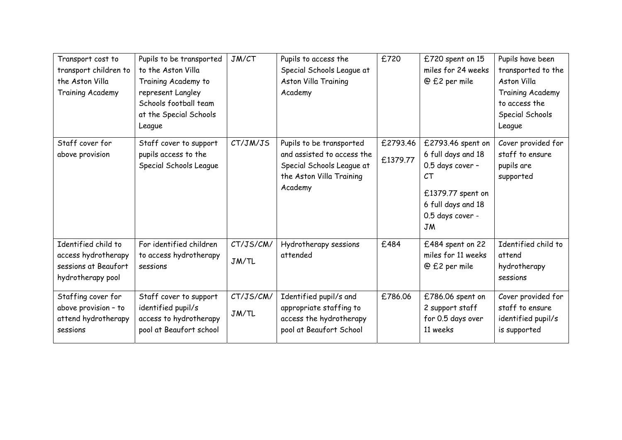| Transport cost to<br>transport children to<br>the Aston Villa<br><b>Training Academy</b> | Pupils to be transported<br>to the Aston Villa<br>Training Academy to<br>represent Langley<br>Schools football team<br>at the Special Schools<br>League | JM/CT              | Pupils to access the<br>Special Schools League at<br>Aston Villa Training<br>Academy                                       | £720                 | £720 spent on 15<br>miles for 24 weeks<br>@ £2 per mile                                                                                       | Pupils have been<br>transported to the<br>Aston Villa<br>Training Academy<br>to access the<br>Special Schools<br>League |
|------------------------------------------------------------------------------------------|---------------------------------------------------------------------------------------------------------------------------------------------------------|--------------------|----------------------------------------------------------------------------------------------------------------------------|----------------------|-----------------------------------------------------------------------------------------------------------------------------------------------|-------------------------------------------------------------------------------------------------------------------------|
| Staff cover for<br>above provision                                                       | Staff cover to support<br>pupils access to the<br>Special Schools League                                                                                | CT/JM/JS           | Pupils to be transported<br>and assisted to access the<br>Special Schools League at<br>the Aston Villa Training<br>Academy | £2793.46<br>£1379.77 | £2793.46 spent on<br>6 full days and 18<br>0.5 days cover -<br>CT<br>£1379.77 spent on<br>6 full days and 18<br>0.5 days cover -<br><b>JM</b> | Cover provided for<br>staff to ensure<br>pupils are<br>supported                                                        |
| Identified child to<br>access hydrotherapy<br>sessions at Beaufort<br>hydrotherapy pool  | For identified children<br>to access hydrotherapy<br>sessions                                                                                           | CT/JS/CM/<br>JM/TL | Hydrotherapy sessions<br>attended                                                                                          | £484                 | £484 spent on 22<br>miles for 11 weeks<br>@ £2 per mile                                                                                       | Identified child to<br>attend<br>hydrotherapy<br>sessions                                                               |
| Staffing cover for<br>above provision - to<br>attend hydrotherapy<br>sessions            | Staff cover to support<br>identified pupil/s<br>access to hydrotherapy<br>pool at Beaufort school                                                       | CT/JS/CM/<br>JM/TL | Identified pupil/s and<br>appropriate staffing to<br>access the hydrotherapy<br>pool at Beaufort School                    | £786.06              | £786.06 spent on<br>2 support staff<br>for 0.5 days over<br>11 weeks                                                                          | Cover provided for<br>staff to ensure<br>identified pupil/s<br>is supported                                             |